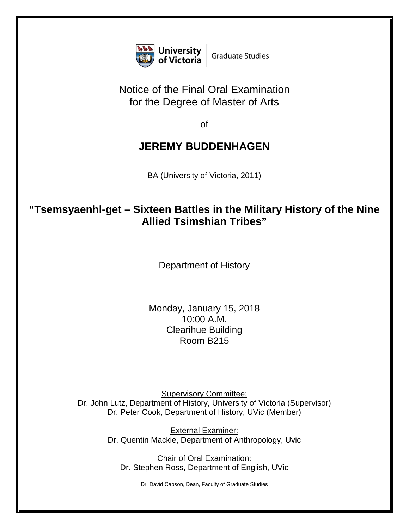

## Notice of the Final Oral Examination for the Degree of Master of Arts

of

## **JEREMY BUDDENHAGEN**

BA (University of Victoria, 2011)

## **"Tsemsyaenhl-get – Sixteen Battles in the Military History of the Nine Allied Tsimshian Tribes"**

Department of History

Monday, January 15, 2018 10:00 A.M. Clearihue Building Room B215

Supervisory Committee: Dr. John Lutz, Department of History, University of Victoria (Supervisor) Dr. Peter Cook, Department of History, UVic (Member)

> External Examiner: Dr. Quentin Mackie, Department of Anthropology, Uvic

Chair of Oral Examination: Dr. Stephen Ross, Department of English, UVic

Dr. David Capson, Dean, Faculty of Graduate Studies